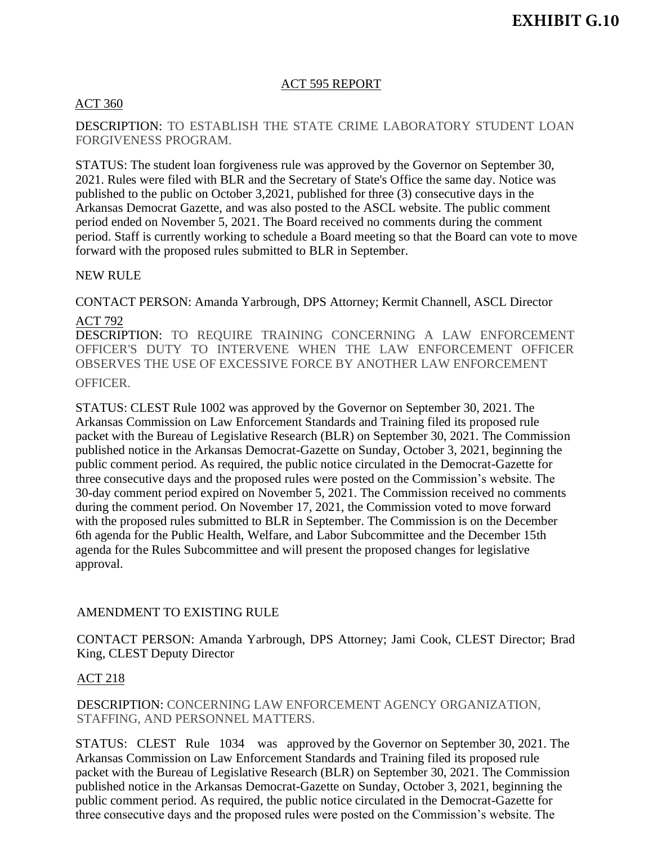#### ACT 595 REPORT

#### ACT 360

DESCRIPTION: TO ESTABLISH THE STATE CRIME LABORATORY STUDENT LOAN FORGIVENESS PROGRAM.

STATUS: The student loan forgiveness rule was approved by the Governor on September 30, 2021. Rules were filed with BLR and the Secretary of State's Office the same day. Notice was published to the public on October 3,2021, published for three (3) consecutive days in the Arkansas Democrat Gazette, and was also posted to the ASCL website. The public comment period ended on November 5, 2021. The Board received no comments during the comment period. Staff is currently working to schedule a Board meeting so that the Board can vote to move forward with the proposed rules submitted to BLR in September.

NEW RULE

CONTACT PERSON: Amanda Yarbrough, DPS Attorney; Kermit Channell, ASCL Director ACT 792

DESCRIPTION: TO REQUIRE TRAINING CONCERNING A LAW ENFORCEMENT OFFICER'S DUTY TO INTERVENE WHEN THE LAW ENFORCEMENT OFFICER OBSERVES THE USE OF EXCESSIVE FORCE BY ANOTHER LAW ENFORCEMENT OFFICER.

STATUS: CLEST Rule 1002 was approved by the Governor on September 30, 2021. The Arkansas Commission on Law Enforcement Standards and Training filed its proposed rule packet with the Bureau of Legislative Research (BLR) on September 30, 2021. The Commission published notice in the Arkansas Democrat-Gazette on Sunday, October 3, 2021, beginning the public comment period. As required, the public notice circulated in the Democrat-Gazette for three consecutive days and the proposed rules were posted on the Commission's website. The 30-day comment period expired on November 5, 2021. The Commission received no comments during the comment period. On November 17, 2021, the Commission voted to move forward with the proposed rules submitted to BLR in September. The Commission is on the December 6th agenda for the Public Health, Welfare, and Labor Subcommittee and the December 15th agenda for the Rules Subcommittee and will present the proposed changes for legislative approval.

#### AMENDMENT TO EXISTING RULE

CONTACT PERSON: Amanda Yarbrough, DPS Attorney; Jami Cook, CLEST Director; Brad King, CLEST Deputy Director

## ACT 218

DESCRIPTION: CONCERNING LAW ENFORCEMENT AGENCY ORGANIZATION, STAFFING, AND PERSONNEL MATTERS.

STATUS: CLEST Rule 1034 was approved by the Governor on September 30, 2021. The Arkansas Commission on Law Enforcement Standards and Training filed its proposed rule packet with the Bureau of Legislative Research (BLR) on September 30, 2021. The Commission published notice in the Arkansas Democrat-Gazette on Sunday, October 3, 2021, beginning the public comment period. As required, the public notice circulated in the Democrat-Gazette for three consecutive days and the proposed rules were posted on the Commission's website. The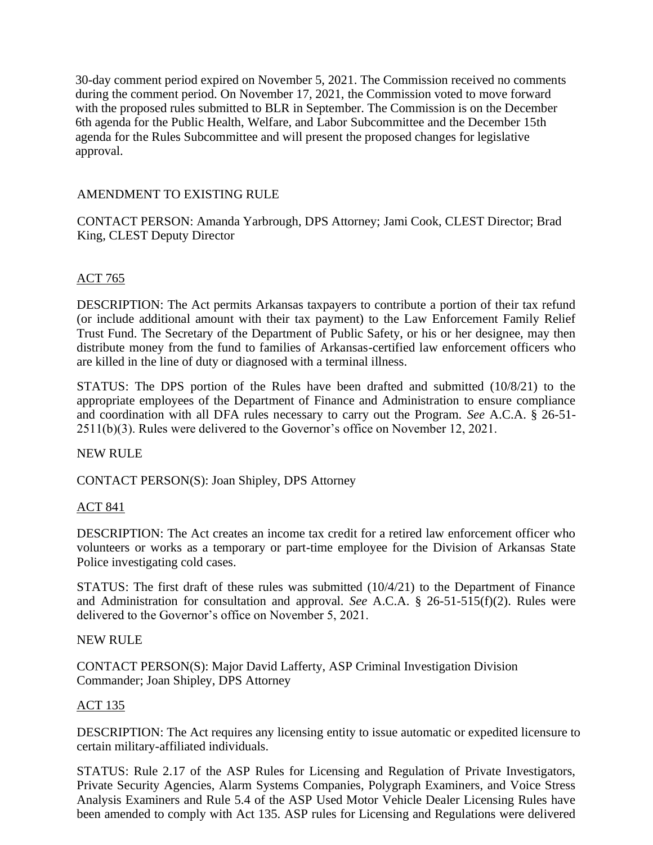30-day comment period expired on November 5, 2021. The Commission received no comments during the comment period. On November 17, 2021, the Commission voted to move forward with the proposed rules submitted to BLR in September. The Commission is on the December 6th agenda for the Public Health, Welfare, and Labor Subcommittee and the December 15th agenda for the Rules Subcommittee and will present the proposed changes for legislative approval.

# AMENDMENT TO EXISTING RULE

CONTACT PERSON: Amanda Yarbrough, DPS Attorney; Jami Cook, CLEST Director; Brad King, CLEST Deputy Director

# ACT 765

DESCRIPTION: The Act permits Arkansas taxpayers to contribute a portion of their tax refund (or include additional amount with their tax payment) to the Law Enforcement Family Relief Trust Fund. The Secretary of the Department of Public Safety, or his or her designee, may then distribute money from the fund to families of Arkansas-certified law enforcement officers who are killed in the line of duty or diagnosed with a terminal illness.

STATUS: The DPS portion of the Rules have been drafted and submitted (10/8/21) to the appropriate employees of the Department of Finance and Administration to ensure compliance and coordination with all DFA rules necessary to carry out the Program. *See* A.C.A. § 26-51- 2511(b)(3). Rules were delivered to the Governor's office on November 12, 2021.

## NEW RULE

CONTACT PERSON(S): Joan Shipley, DPS Attorney

## ACT 841

DESCRIPTION: The Act creates an income tax credit for a retired law enforcement officer who volunteers or works as a temporary or part-time employee for the Division of Arkansas State Police investigating cold cases.

STATUS: The first draft of these rules was submitted (10/4/21) to the Department of Finance and Administration for consultation and approval. *See* A.C.A. § 26-51-515(f)(2). Rules were delivered to the Governor's office on November 5, 2021.

#### NEW RULE

CONTACT PERSON(S): Major David Lafferty, ASP Criminal Investigation Division Commander; Joan Shipley, DPS Attorney

## ACT 135

DESCRIPTION: The Act requires any licensing entity to issue automatic or expedited licensure to certain military-affiliated individuals.

STATUS: Rule 2.17 of the ASP Rules for Licensing and Regulation of Private Investigators, Private Security Agencies, Alarm Systems Companies, Polygraph Examiners, and Voice Stress Analysis Examiners and Rule 5.4 of the ASP Used Motor Vehicle Dealer Licensing Rules have been amended to comply with Act 135. ASP rules for Licensing and Regulations were delivered